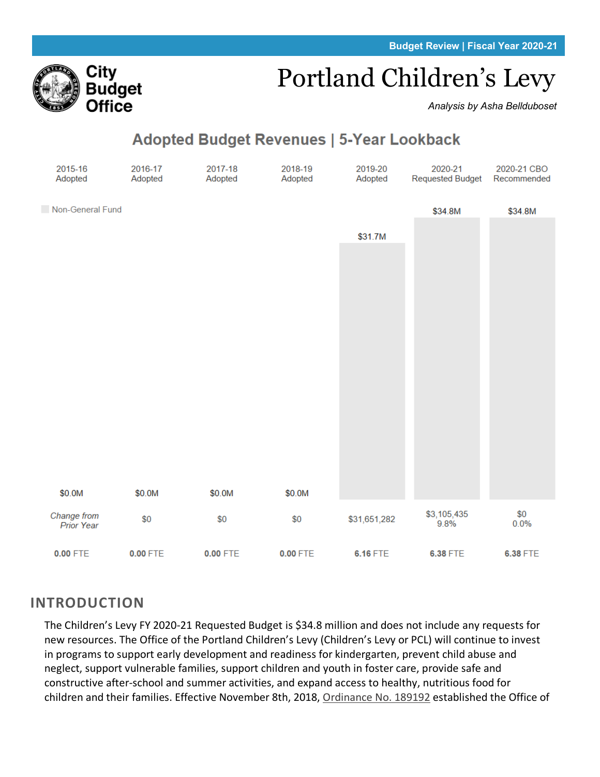# Portland Children's Levy

*Analysis by Asha Bellduboset*

## **Adopted Budget Revenues | 5-Year Lookback**



## **INTRODUCTION**

Citv

Budget Office

The Children's Levy FY 2020-21 Requested Budget is \$34.8 million and does not include any requests for new resources. The Office of the Portland Children's Levy (Children's Levy or PCL) will continue to invest in programs to support early development and readiness for kindergarten, prevent child abuse and neglect, support vulnerable families, support children and youth in foster care, provide safe and constructive after-school and summer activities, and expand access to healthy, nutritious food for children and their families. Effective November 8th, 2018, [Ordinance No. 189192](https://www.portlandoregon.gov/cbo/article/649444#page=79) established the Office of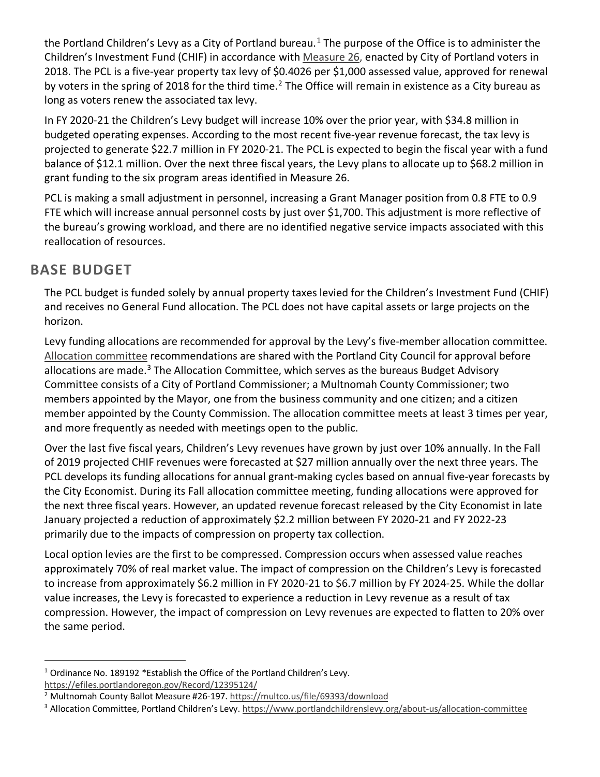the Portland Children's Levy as a City of Portland bureau.<sup>[1](#page-1-0)</sup> The purpose of the Office is to administer the Children's Investment Fund (CHIF) in accordance with [Measure 26,](https://multco.us/file/69393/download) enacted by City of Portland voters in 2018. The PCL is a five-year property tax levy of \$0.4026 per \$1,000 assessed value, approved for renewal by voters in the spring of [2](#page-1-1)018 for the third time.<sup>2</sup> The Office will remain in existence as a City bureau as long as voters renew the associated tax levy.

In FY 2020-21 the Children's Levy budget will increase 10% over the prior year, with \$34.8 million in budgeted operating expenses. According to the most recent five-year revenue forecast, the tax levy is projected to generate \$22.7 million in FY 2020-21. The PCL is expected to begin the fiscal year with a fund balance of \$12.1 million. Over the next three fiscal years, the Levy plans to allocate up to \$68.2 million in grant funding to the six program areas identified in Measure 26.

PCL is making a small adjustment in personnel, increasing a Grant Manager position from 0.8 FTE to 0.9 FTE which will increase annual personnel costs by just over \$1,700. This adjustment is more reflective of the bureau's growing workload, and there are no identified negative service impacts associated with this reallocation of resources.

## **BASE BUDGET**

The PCL budget is funded solely by annual property taxes levied for the Children's Investment Fund (CHIF) and receives no General Fund allocation. The PCL does not have capital assets or large projects on the horizon.

Levy funding allocations are recommended for approval by the Levy's five-member allocation committee. [Allocation committee](https://www.portlandchildrenslevy.org/about-us/allocation-committee) recommendations are shared with the Portland City Council for approval before allocations are made. $3$  The Allocation Committee, which serves as the bureaus Budget Advisory Committee consists of a City of Portland Commissioner; a Multnomah County Commissioner; two members appointed by the Mayor, one from the business community and one citizen; and a citizen member appointed by the County Commission. The allocation committee meets at least 3 times per year, and more frequently as needed with meetings open to the public.

Over the last five fiscal years, Children's Levy revenues have grown by just over 10% annually. In the Fall of 2019 projected CHIF revenues were forecasted at \$27 million annually over the next three years. The PCL develops its funding allocations for annual grant-making cycles based on annual five-year forecasts by the City Economist. During its Fall allocation committee meeting, funding allocations were approved for the next three fiscal years. However, an updated revenue forecast released by the City Economist in late January projected a reduction of approximately \$2.2 million between FY 2020-21 and FY 2022-23 primarily due to the impacts of compression on property tax collection.

Local option levies are the first to be compressed. Compression occurs when assessed value reaches approximately 70% of real market value. The impact of compression on the Children's Levy is forecasted to increase from approximately \$6.2 million in FY 2020-21 to \$6.7 million by FY 2024-25. While the dollar value increases, the Levy is forecasted to experience a reduction in Levy revenue as a result of tax compression. However, the impact of compression on Levy revenues are expected to flatten to 20% over the same period.

<span id="page-1-0"></span><sup>&</sup>lt;sup>1</sup> Ordinance No. 189192 \*Establish the Office of the Portland Children's Levy.

<https://efiles.portlandoregon.gov/Record/12395124/>

<span id="page-1-1"></span><sup>&</sup>lt;sup>2</sup> Multnomah County Ballot Measure #26-197[. https://multco.us/file/69393/download](https://multco.us/file/69393/download)

<span id="page-1-2"></span><sup>&</sup>lt;sup>3</sup> Allocation Committee, Portland Children's Levy[. https://www.portlandchildrenslevy.org/about-us/allocation-committee](https://www.portlandchildrenslevy.org/about-us/allocation-committee)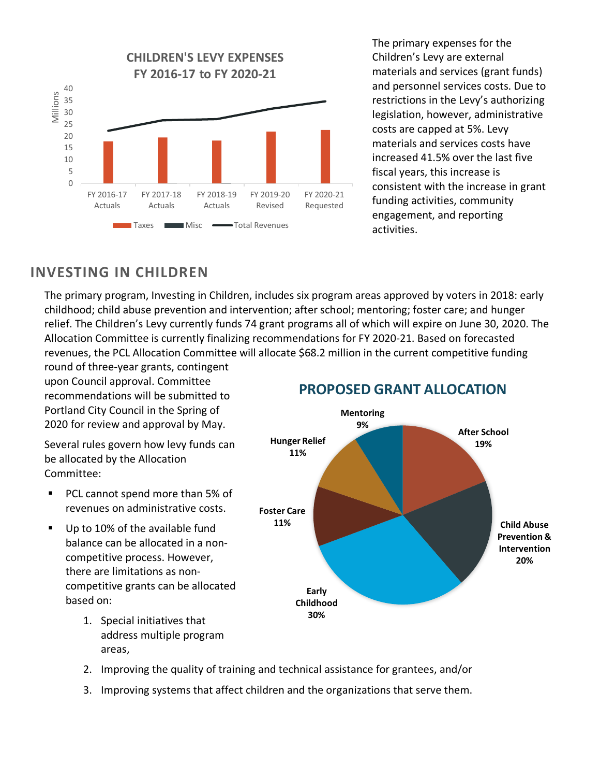

The primary expenses for the Children's Levy are external materials and services (grant funds) and personnel services costs. Due to restrictions in the Levy's authorizing legislation, however, administrative costs are capped at 5%. Levy materials and services costs have increased 41.5% over the last five fiscal years, this increase is consistent with the increase in grant funding activities, community engagement, and reporting activities.

## **INVESTING IN CHILDREN**

The primary program, Investing in Children, includes six program areas approved by voters in 2018: early childhood; child abuse prevention and intervention; after school; mentoring; foster care; and hunger relief. The Children's Levy currently funds 74 grant programs all of which will expire on June 30, 2020. The Allocation Committee is currently finalizing recommendations for FY 2020-21. Based on forecasted revenues, the PCL Allocation Committee will allocate \$68.2 million in the current competitive funding

round of three-year grants, contingent upon Council approval. Committee recommendations will be submitted to Portland City Council in the Spring of 2020 for review and approval by May.

Several rules govern how levy funds can be allocated by the Allocation Committee:

- **PCL cannot spend more than 5% of** revenues on administrative costs.
- Up to 10% of the available fund balance can be allocated in a noncompetitive process. However, there are limitations as noncompetitive grants can be allocated based on:
	- 1. Special initiatives that address multiple program areas,



### **PROPOSED GRANT ALLOCATION**

- 2. Improving the quality of training and technical assistance for grantees, and/or
- 3. Improving systems that affect children and the organizations that serve them.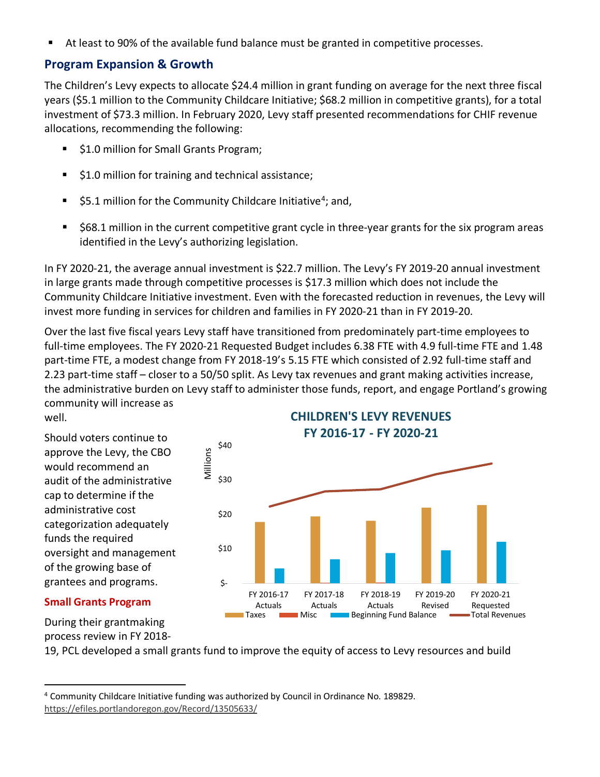At least to 90% of the available fund balance must be granted in competitive processes.

#### **Program Expansion & Growth**

The Children's Levy expects to allocate \$24.4 million in grant funding on average for the next three fiscal years (\$5.1 million to the Community Childcare Initiative; \$68.2 million in competitive grants), for a total investment of \$73.3 million. In February 2020, Levy staff presented recommendations for CHIF revenue allocations, recommending the following:

- \$1.0 million for Small Grants Program;
- **51.0 million for training and technical assistance;**
- $\blacktriangleright$  \$5.1 million for the Community Childcare Initiative<sup>[4](#page-3-0)</sup>; and,
- \$68.1 million in the current competitive grant cycle in three-year grants for the six program areas identified in the Levy's authorizing legislation.

In FY 2020-21, the average annual investment is \$22.7 million. The Levy's FY 2019-20 annual investment in large grants made through competitive processes is \$17.3 million which does not include the Community Childcare Initiative investment. Even with the forecasted reduction in revenues, the Levy will invest more funding in services for children and families in FY 2020-21 than in FY 2019-20.

Over the last five fiscal years Levy staff have transitioned from predominately part-time employees to full-time employees. The FY 2020-21 Requested Budget includes 6.38 FTE with 4.9 full-time FTE and 1.48 part-time FTE, a modest change from FY 2018-19's 5.15 FTE which consisted of 2.92 full-time staff and 2.23 part-time staff – closer to a 50/50 split. As Levy tax revenues and grant making activities increase, the administrative burden on Levy staff to administer those funds, report, and engage Portland's growing community will increase as

well.

Should voters continue to approve the Levy, the CBO would recommend an audit of the administrative cap to determine if the administrative cost categorization adequately funds the required oversight and management of the growing base of grantees and programs.

#### \$- \$10 \$20 \$30 \$40 FY 2016-17 Actuals FY 2017-18 Actuals FY 2018-19 Actuals FY 2019-20 Revised FY 2020-21 Requested Millions **CHILDREN'S LEVY REVENUES FY 2016-17 - FY 2020-21 Taxes EXCO** Misc **Beginning Fund Balance <b>The Access** Total Revenues

#### **Small Grants Program**

During their grantmaking process review in FY 2018-

19, PCL developed a small grants fund to improve the equity of access to Levy resources and build

<span id="page-3-0"></span><sup>4</sup> Community Childcare Initiative funding was authorized by Council in Ordinance No. 189829. <https://efiles.portlandoregon.gov/Record/13505633/>